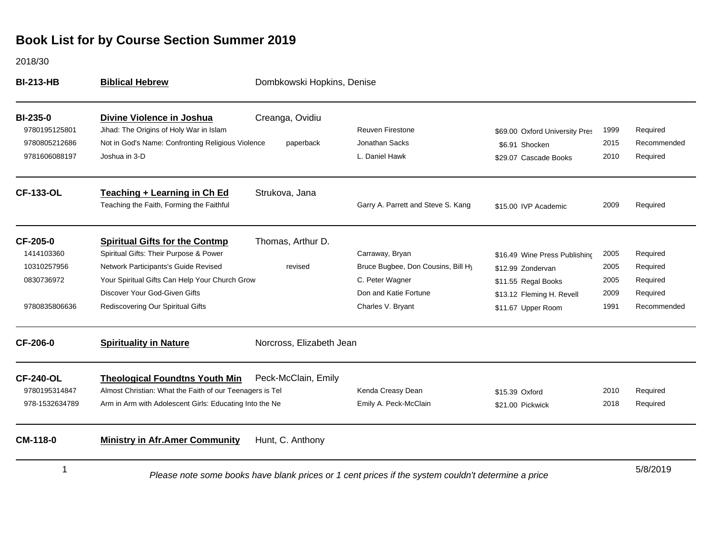2018/30

| <b>BI-213-HB</b>                                                     | <b>Biblical Hebrew</b><br>Dombkowski Hopkins, Denise                                                                                                                                                                                            |                                                                                                    |                                                                                                                        |                                                                                                                              |                                      |                                                             |
|----------------------------------------------------------------------|-------------------------------------------------------------------------------------------------------------------------------------------------------------------------------------------------------------------------------------------------|----------------------------------------------------------------------------------------------------|------------------------------------------------------------------------------------------------------------------------|------------------------------------------------------------------------------------------------------------------------------|--------------------------------------|-------------------------------------------------------------|
| <b>BI-235-0</b><br>9780195125801<br>9780805212686<br>9781606088197   | Divine Violence in Joshua<br>Jihad: The Origins of Holy War in Islam<br>Not in God's Name: Confronting Religious Violence<br>Joshua in 3-D                                                                                                      | Creanga, Ovidiu<br>paperback                                                                       | <b>Reuven Firestone</b><br>Jonathan Sacks<br>L. Daniel Hawk                                                            | \$69.00 Oxford University Pres<br>\$6.91 Shocken<br>\$29.07 Cascade Books                                                    | 1999<br>2015<br>2010                 | Required<br>Recommended<br>Required                         |
| <b>CF-133-OL</b>                                                     | Teaching + Learning in Ch Ed<br>Teaching the Faith, Forming the Faithful                                                                                                                                                                        | Strukova, Jana                                                                                     | Garry A. Parrett and Steve S. Kang                                                                                     | \$15.00 IVP Academic                                                                                                         | 2009                                 | Required                                                    |
| CF-205-0<br>1414103360<br>10310257956<br>0830736972<br>9780835806636 | <b>Spiritual Gifts for the Contmp</b><br>Spiritual Gifts: Their Purpose & Power<br>Network Participants's Guide Revised<br>Your Spiritual Gifts Can Help Your Church Grow<br>Discover Your God-Given Gifts<br>Rediscovering Our Spiritual Gifts | Thomas, Arthur D.<br>revised                                                                       | Carraway, Bryan<br>Bruce Bugbee, Don Cousins, Bill Hy<br>C. Peter Wagner<br>Don and Katie Fortune<br>Charles V. Bryant | \$16.49 Wine Press Publishing<br>\$12.99 Zondervan<br>\$11.55 Regal Books<br>\$13.12 Fleming H. Revell<br>\$11.67 Upper Room | 2005<br>2005<br>2005<br>2009<br>1991 | Required<br>Required<br>Required<br>Required<br>Recommended |
| <b>CF-206-0</b>                                                      | <b>Spirituality in Nature</b>                                                                                                                                                                                                                   | Norcross, Elizabeth Jean                                                                           |                                                                                                                        |                                                                                                                              |                                      |                                                             |
| <b>CF-240-OL</b><br>9780195314847<br>978-1532634789                  | <b>Theological Foundtns Youth Min</b><br>Almost Christian: What the Faith of our Teenagers is Tel<br>Arm in Arm with Adolescent Girls: Educating Into the Ne                                                                                    | Peck-McClain, Emily                                                                                | Kenda Creasy Dean<br>Emily A. Peck-McClain                                                                             | \$15.39 Oxford<br>\$21.00 Pickwick                                                                                           | 2010<br>2018                         | Required<br>Required                                        |
| CM-118-0                                                             | <b>Ministry in Afr.Amer Community</b>                                                                                                                                                                                                           | Hunt, C. Anthony                                                                                   |                                                                                                                        |                                                                                                                              |                                      |                                                             |
| 1                                                                    |                                                                                                                                                                                                                                                 | Please note some books have blank prices or 1 cent prices if the system couldn't determine a price |                                                                                                                        |                                                                                                                              |                                      | 5/8/2019                                                    |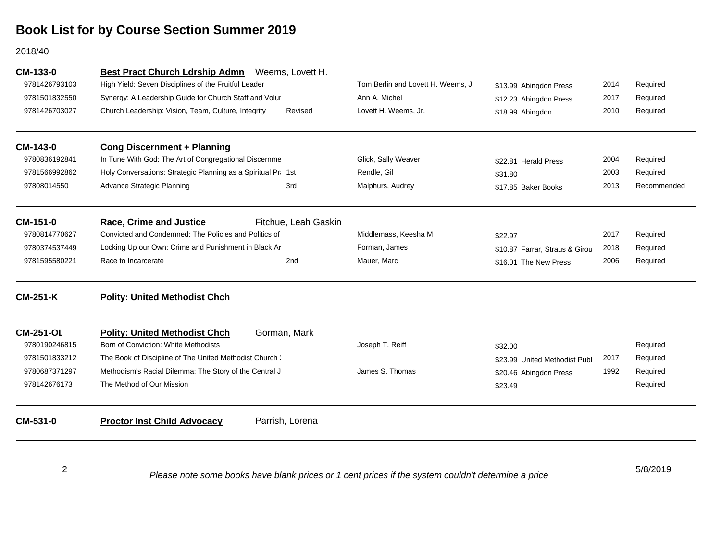#### 2018/40

| CM-133-0         | <b>Best Pract Church Ldrship Admn</b>                         | Weems, Lovett H.     |                                   |                                |      |             |
|------------------|---------------------------------------------------------------|----------------------|-----------------------------------|--------------------------------|------|-------------|
| 9781426793103    | High Yield: Seven Disciplines of the Fruitful Leader          |                      | Tom Berlin and Lovett H. Weems, J | \$13.99 Abingdon Press         | 2014 | Required    |
| 9781501832550    | Synergy: A Leadership Guide for Church Staff and Volur        |                      | Ann A. Michel                     | \$12.23 Abingdon Press         | 2017 | Required    |
| 9781426703027    | Church Leadership: Vision, Team, Culture, Integrity           | Revised              | Lovett H. Weems, Jr.              | \$18.99 Abingdon               | 2010 | Required    |
| CM-143-0         | <b>Cong Discernment + Planning</b>                            |                      |                                   |                                |      |             |
| 9780836192841    | In Tune With God: The Art of Congregational Discernme         |                      | Glick, Sally Weaver               | \$22.81 Herald Press           | 2004 | Required    |
| 9781566992862    | Holy Conversations: Strategic Planning as a Spiritual Pra 1st |                      | Rendle, Gil                       | \$31.80                        | 2003 | Required    |
| 97808014550      | Advance Strategic Planning                                    | 3rd                  | Malphurs, Audrey                  | \$17.85 Baker Books            | 2013 | Recommended |
| CM-151-0         | <b>Race, Crime and Justice</b>                                | Fitchue, Leah Gaskin |                                   |                                |      |             |
| 9780814770627    | Convicted and Condemned: The Policies and Politics of         |                      | Middlemass, Keesha M              | \$22.97                        | 2017 | Required    |
| 9780374537449    | Locking Up our Own: Crime and Punishment in Black Ar          |                      | Forman, James                     | \$10.87 Farrar, Straus & Girou | 2018 | Required    |
| 9781595580221    | Race to Incarcerate                                           | 2nd                  | Mauer, Marc                       | \$16.01 The New Press          | 2006 | Required    |
| <b>CM-251-K</b>  | <b>Polity: United Methodist Chch</b>                          |                      |                                   |                                |      |             |
| <b>CM-251-OL</b> | <b>Polity: United Methodist Chch</b>                          | Gorman, Mark         |                                   |                                |      |             |
| 9780190246815    | Born of Conviction: White Methodists                          |                      | Joseph T. Reiff                   | \$32.00                        |      | Required    |
| 9781501833212    | The Book of Discipline of The United Methodist Church:        |                      |                                   | \$23.99 United Methodist Publ  | 2017 | Required    |
| 9780687371297    | Methodism's Racial Dilemma: The Story of the Central J        |                      | James S. Thomas                   | \$20.46 Abingdon Press         | 1992 | Required    |
| 978142676173     | The Method of Our Mission                                     |                      |                                   | \$23.49                        |      | Required    |
| CM-531-0         | <b>Proctor Inst Child Advocacy</b>                            | Parrish, Lorena      |                                   |                                |      |             |
|                  |                                                               |                      |                                   |                                |      |             |

2

*Please note some books have blank prices or 1 cent prices if the system couldn't determine a price*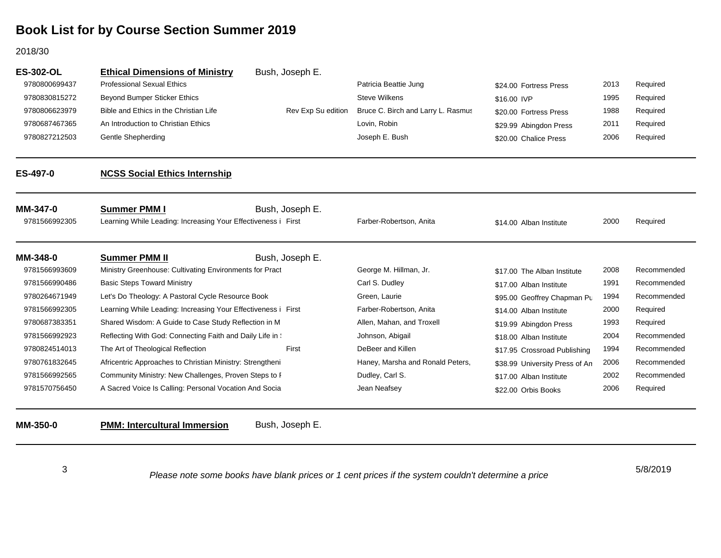#### 2018/30

| <b>ES-302-OL</b> | <b>Ethical Dimensions of Ministry</b>                         | Bush, Joseph E.    |                                    |                                |      |             |
|------------------|---------------------------------------------------------------|--------------------|------------------------------------|--------------------------------|------|-------------|
| 9780800699437    | <b>Professional Sexual Ethics</b>                             |                    | Patricia Beattie Jung              | \$24.00 Fortress Press         | 2013 | Required    |
| 9780830815272    | Beyond Bumper Sticker Ethics                                  |                    | <b>Steve Wilkens</b>               | \$16.00 IVP                    | 1995 | Required    |
| 9780806623979    | Bible and Ethics in the Christian Life                        | Rev Exp Su edition | Bruce C. Birch and Larry L. Rasmus | \$20.00 Fortress Press         | 1988 | Required    |
| 9780687467365    | An Introduction to Christian Ethics                           |                    | Lovin, Robin                       | \$29.99 Abingdon Press         | 2011 | Required    |
| 9780827212503    | <b>Gentle Shepherding</b>                                     |                    | Joseph E. Bush                     | \$20.00 Chalice Press          | 2006 | Required    |
| ES-497-0         | <b>NCSS Social Ethics Internship</b>                          |                    |                                    |                                |      |             |
| <b>MM-347-0</b>  | <b>Summer PMM I</b>                                           | Bush, Joseph E.    |                                    |                                |      |             |
| 9781566992305    | Learning While Leading: Increasing Your Effectiveness i First |                    | Farber-Robertson, Anita            | \$14.00 Alban Institute        | 2000 | Required    |
| MM-348-0         | <b>Summer PMM II</b>                                          | Bush, Joseph E.    |                                    |                                |      |             |
| 9781566993609    | Ministry Greenhouse: Cultivating Environments for Pract       |                    | George M. Hillman, Jr.             | \$17.00 The Alban Institute    | 2008 | Recommended |
| 9781566990486    | <b>Basic Steps Toward Ministry</b>                            |                    | Carl S. Dudley                     | \$17.00 Alban Institute        | 1991 | Recommended |
| 9780264671949    | Let's Do Theology: A Pastoral Cycle Resource Book             |                    | Green, Laurie                      | \$95.00 Geoffrey Chapman Pu    | 1994 | Recommended |
| 9781566992305    | Learning While Leading: Increasing Your Effectiveness i First |                    | Farber-Robertson, Anita            | \$14.00 Alban Institute        | 2000 | Required    |
| 9780687383351    | Shared Wisdom: A Guide to Case Study Reflection in M          |                    | Allen, Mahan, and Troxell          | \$19.99 Abingdon Press         | 1993 | Required    |
| 9781566992923    | Reflecting With God: Connecting Faith and Daily Life in :     |                    | Johnson, Abigail                   | \$18.00 Alban Institute        | 2004 | Recommended |
| 9780824514013    | The Art of Theological Reflection                             | First              | DeBeer and Killen                  | \$17.95 Crossroad Publishing   | 1994 | Recommended |
| 9780761832645    | Africentric Approaches to Christian Ministry: Strengtheni     |                    | Haney, Marsha and Ronald Peters,   | \$38.99 University Press of An | 2006 | Recommended |
| 9781566992565    | Community Ministry: New Challenges, Proven Steps to F         |                    | Dudley, Carl S.                    | \$17.00 Alban Institute        | 2002 | Recommended |
| 9781570756450    | A Sacred Voice Is Calling: Personal Vocation And Socia        |                    | Jean Neafsey                       | \$22.00 Orbis Books            | 2006 | Required    |
| MM-350-0         | <b>PMM: Intercultural Immersion</b>                           | Bush, Joseph E.    |                                    |                                |      |             |

3

*Please note some books have blank prices or 1 cent prices if the system couldn't determine a price*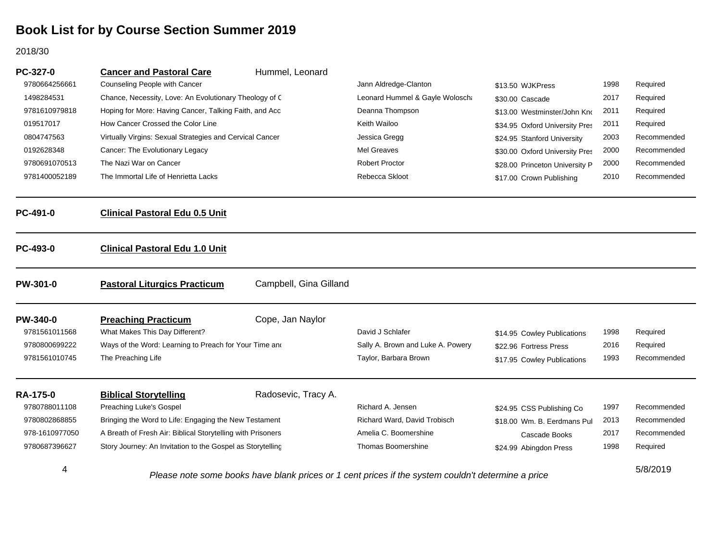#### 2018/30

| PC-327-0        | <b>Cancer and Pastoral Care</b>                                                                    | Hummel, Leonard        |                                   |                                |      |             |
|-----------------|----------------------------------------------------------------------------------------------------|------------------------|-----------------------------------|--------------------------------|------|-------------|
| 9780664256661   | Counseling People with Cancer                                                                      |                        | Jann Aldredge-Clanton             | \$13.50 WJKPress               | 1998 | Required    |
| 1498284531      | Chance, Necessity, Love: An Evolutionary Theology of C                                             |                        | Leonard Hummel & Gayle Woloscha   | \$30.00 Cascade                | 2017 | Required    |
| 9781610979818   | Hoping for More: Having Cancer, Talking Faith, and Acc                                             |                        | Deanna Thompson                   | \$13.00 Westminster/John Kno   | 2011 | Required    |
| 019517017       | How Cancer Crossed the Color Line                                                                  |                        | Keith Wailoo                      | \$34.95 Oxford University Pres | 2011 | Required    |
| 0804747563      | Virtually Virgins: Sexual Strategies and Cervical Cancer                                           |                        | Jessica Gregg                     | \$24.95 Stanford University    | 2003 | Recommended |
| 0192628348      | Cancer: The Evolutionary Legacy                                                                    |                        | Mel Greaves                       | \$30.00 Oxford University Pres | 2000 | Recommended |
| 9780691070513   | The Nazi War on Cancer                                                                             |                        | <b>Robert Proctor</b>             | \$28.00 Princeton University P | 2000 | Recommended |
| 9781400052189   | The Immortal Life of Henrietta Lacks                                                               |                        | Rebecca Skloot                    | \$17.00 Crown Publishing       | 2010 | Recommended |
| PC-491-0        | <b>Clinical Pastoral Edu 0.5 Unit</b>                                                              |                        |                                   |                                |      |             |
| PC-493-0        | <b>Clinical Pastoral Edu 1.0 Unit</b>                                                              |                        |                                   |                                |      |             |
| <b>PW-301-0</b> | <b>Pastoral Liturgics Practicum</b>                                                                | Campbell, Gina Gilland |                                   |                                |      |             |
| <b>PW-340-0</b> | <b>Preaching Practicum</b>                                                                         | Cope, Jan Naylor       |                                   |                                |      |             |
| 9781561011568   | What Makes This Day Different?                                                                     |                        | David J Schlafer                  | \$14.95 Cowley Publications    | 1998 | Required    |
| 9780800699222   | Ways of the Word: Learning to Preach for Your Time and                                             |                        | Sally A. Brown and Luke A. Powery | \$22.96 Fortress Press         | 2016 | Required    |
| 9781561010745   | The Preaching Life                                                                                 |                        | Taylor, Barbara Brown             | \$17.95 Cowley Publications    | 1993 | Recommended |
| <b>RA-175-0</b> | <b>Biblical Storytelling</b>                                                                       | Radosevic, Tracy A.    |                                   |                                |      |             |
| 9780788011108   | Preaching Luke's Gospel                                                                            |                        | Richard A. Jensen                 | \$24.95 CSS Publishing Co      | 1997 | Recommended |
| 9780802868855   | Bringing the Word to Life: Engaging the New Testament                                              |                        | Richard Ward, David Trobisch      | \$18.00 Wm. B. Eerdmans Pul    | 2013 | Recommended |
| 978-1610977050  | A Breath of Fresh Air: Biblical Storytelling with Prisoners                                        |                        | Amelia C. Boomershine             | Cascade Books                  | 2017 | Recommended |
| 9780687396627   | Story Journey: An Invitation to the Gospel as Storytelling                                         |                        | <b>Thomas Boomershine</b>         | \$24.99 Abingdon Press         | 1998 | Required    |
| 4               | Please note some books have blank prices or 1 cent prices if the system couldn't determine a price |                        |                                   |                                |      | 5/8/2019    |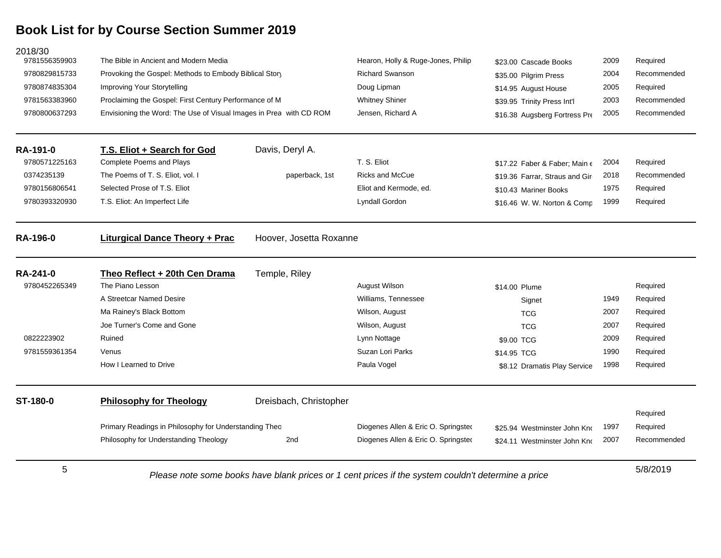| 2018/30                                                                                                 |                                                                    |                         |                                     |                                        |          |             |
|---------------------------------------------------------------------------------------------------------|--------------------------------------------------------------------|-------------------------|-------------------------------------|----------------------------------------|----------|-------------|
| 9781556359903                                                                                           | The Bible in Ancient and Modern Media                              |                         | Hearon, Holly & Ruge-Jones, Philip  | \$23.00 Cascade Books                  | 2009     | Required    |
| 9780829815733                                                                                           | Provoking the Gospel: Methods to Embody Biblical Story             |                         | <b>Richard Swanson</b>              | \$35.00 Pilgrim Press                  | 2004     | Recommended |
| 9780874835304                                                                                           | Improving Your Storytelling                                        |                         | Doug Lipman                         | \$14.95 August House                   | 2005     | Required    |
| 9781563383960                                                                                           | Proclaiming the Gospel: First Century Performance of M             |                         | <b>Whitney Shiner</b>               | \$39.95 Trinity Press Int'l            | 2003     | Recommended |
| 9780800637293                                                                                           | Envisioning the Word: The Use of Visual Images in Prea with CD ROM |                         | Jensen, Richard A                   | \$16.38 Augsberg Fortress Pre          | 2005     | Recommended |
| RA-191-0                                                                                                | T.S. Eliot + Search for God                                        | Davis, Deryl A.         |                                     |                                        |          |             |
| 9780571225163                                                                                           | Complete Poems and Plays                                           |                         | T. S. Eliot                         | \$17.22 Faber & Faber; Main $\epsilon$ | 2004     | Required    |
| 0374235139                                                                                              | The Poems of T. S. Eliot, vol. I                                   | paperback, 1st          | <b>Ricks and McCue</b>              | \$19.36 Farrar, Straus and Gir         | 2018     | Recommended |
| 9780156806541                                                                                           | Selected Prose of T.S. Eliot                                       |                         | Eliot and Kermode, ed.              | \$10.43 Mariner Books                  | 1975     | Required    |
| 9780393320930                                                                                           | T.S. Eliot: An Imperfect Life                                      |                         | Lyndall Gordon                      | \$16.46 W. W. Norton & Comp            | 1999     | Required    |
| <b>RA-196-0</b>                                                                                         | <b>Liturgical Dance Theory + Prac</b>                              | Hoover, Josetta Roxanne |                                     |                                        |          |             |
| <b>RA-241-0</b>                                                                                         | Theo Reflect + 20th Cen Drama                                      | Temple, Riley           |                                     |                                        |          |             |
| 9780452265349                                                                                           | The Piano Lesson                                                   |                         | August Wilson                       | \$14.00 Plume                          |          | Required    |
|                                                                                                         | A Streetcar Named Desire                                           |                         | Williams, Tennessee                 | Signet                                 | 1949     | Required    |
|                                                                                                         | Ma Rainey's Black Bottom                                           |                         | Wilson, August                      | <b>TCG</b>                             | 2007     | Required    |
|                                                                                                         | Joe Turner's Come and Gone                                         |                         | Wilson, August                      | <b>TCG</b>                             | 2007     | Required    |
| 0822223902                                                                                              | Ruined                                                             |                         | Lynn Nottage                        | \$9.00 TCG                             | 2009     | Required    |
| 9781559361354                                                                                           | Venus                                                              |                         | Suzan Lori Parks                    | \$14.95 TCG                            | 1990     | Required    |
|                                                                                                         | How I Learned to Drive                                             |                         | Paula Vogel                         | \$8.12 Dramatis Play Service           | 1998     | Required    |
| ST-180-0                                                                                                | <b>Philosophy for Theology</b>                                     | Dreisbach, Christopher  |                                     |                                        |          |             |
|                                                                                                         |                                                                    |                         |                                     |                                        |          | Required    |
|                                                                                                         | Primary Readings in Philosophy for Understanding Theo              |                         | Diogenes Allen & Eric O. Springsted | \$25.94 Westminster John Kno           | 1997     | Required    |
|                                                                                                         | Philosophy for Understanding Theology                              | 2nd                     | Diogenes Allen & Eric O. Springsted | \$24.11 Westminster John Kno           | 2007     | Recommended |
| 5<br>Please note some books have blank prices or 1 cent prices if the system couldn't determine a price |                                                                    |                         |                                     |                                        | 5/8/2019 |             |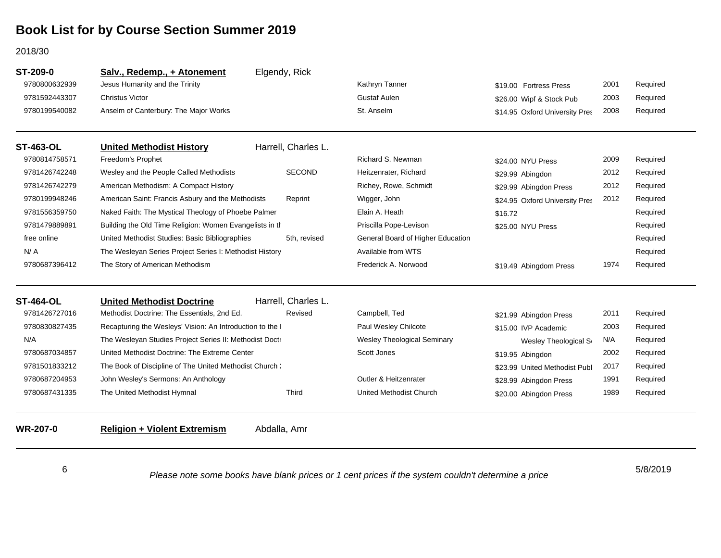#### 2018/30

| ST-209-0         | Salv., Redemp., + Atonement                               | Elgendy, Rick       |                                    |                                |      |          |
|------------------|-----------------------------------------------------------|---------------------|------------------------------------|--------------------------------|------|----------|
| 9780800632939    | Jesus Humanity and the Trinity                            |                     | Kathryn Tanner                     | \$19.00 Fortress Press         | 2001 | Required |
| 9781592443307    | <b>Christus Victor</b>                                    |                     | <b>Gustaf Aulen</b>                | \$26.00 Wipf & Stock Pub       | 2003 | Required |
| 9780199540082    | Anselm of Canterbury: The Major Works                     |                     | St. Anselm                         | \$14.95 Oxford University Pres | 2008 | Required |
| <b>ST-463-OL</b> | <b>United Methodist History</b>                           | Harrell, Charles L. |                                    |                                |      |          |
| 9780814758571    | Freedom's Prophet                                         |                     | Richard S. Newman                  | \$24.00 NYU Press              | 2009 | Required |
| 9781426742248    | Wesley and the People Called Methodists                   | <b>SECOND</b>       | Heitzenrater, Richard              | \$29.99 Abingdon               | 2012 | Required |
| 9781426742279    | American Methodism: A Compact History                     |                     | Richey, Rowe, Schmidt              | \$29.99 Abingdon Press         | 2012 | Required |
| 9780199948246    | American Saint: Francis Asbury and the Methodists         | Reprint             | Wigger, John                       | \$24.95 Oxford University Pres | 2012 | Required |
| 9781556359750    | Naked Faith: The Mystical Theology of Phoebe Palmer       |                     | Elain A. Heath                     | \$16.72                        |      | Required |
| 9781479889891    | Building the Old Time Religion: Women Evangelists in th   |                     | Priscilla Pope-Levison             | \$25.00 NYU Press              |      | Required |
| free online      | United Methodist Studies: Basic Bibliographies            | 5th. revised        | General Board of Higher Education  |                                |      | Required |
| N/A              | The Wesleyan Series Project Series I: Methodist History   |                     | Available from WTS                 |                                |      | Required |
| 9780687396412    | The Story of American Methodism                           |                     | Frederick A. Norwood               | \$19.49 Abingdom Press         | 1974 | Required |
| <b>ST-464-OL</b> | <b>United Methodist Doctrine</b>                          | Harrell, Charles L. |                                    |                                |      |          |
| 9781426727016    | Methodist Doctrine: The Essentials, 2nd Ed.               | Revised             | Campbell, Ted                      | \$21.99 Abingdon Press         | 2011 | Required |
| 9780830827435    | Recapturing the Wesleys' Vision: An Introduction to the I |                     | Paul Wesley Chilcote               | \$15.00 IVP Academic           | 2003 | Required |
| N/A              | The Wesleyan Studies Project Series II: Methodist Doctr   |                     | <b>Wesley Theological Seminary</b> | Wesley Theological S           | N/A  | Required |
| 9780687034857    | United Methodist Doctrine: The Extreme Center             |                     | Scott Jones                        | \$19.95 Abingdon               | 2002 | Required |
| 9781501833212    | The Book of Discipline of The United Methodist Church:    |                     |                                    | \$23.99 United Methodist Publ  | 2017 | Required |
| 9780687204953    | John Wesley's Sermons: An Anthology                       |                     | Outler & Heitzenrater              | \$28.99 Abingdon Press         | 1991 | Required |
| 9780687431335    | The United Methodist Hymnal                               | <b>Third</b>        | United Methodist Church            | \$20.00 Abingdon Press         | 1989 | Required |
| <b>WR-207-0</b>  | <b>Religion + Violent Extremism</b>                       | Abdalla, Amr        |                                    |                                |      |          |

6

*Please note some books have blank prices or 1 cent prices if the system couldn't determine a price*